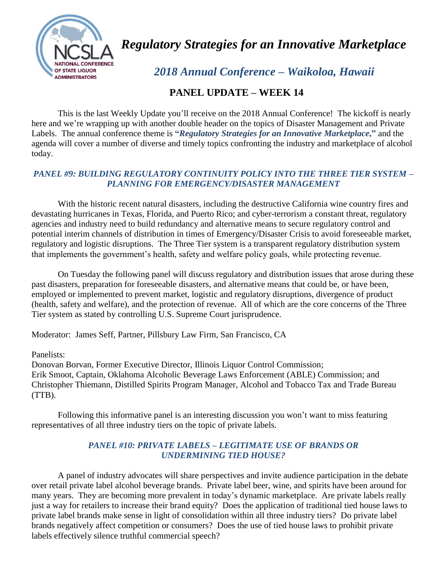

*Regulatory Strategies for an Innovative Marketplace*

 *2018 Annual Conference – Waikoloa, Hawaii*

## **PANEL UPDATE – WEEK 14**

This is the last Weekly Update you'll receive on the 2018 Annual Conference! The kickoff is nearly here and we're wrapping up with another double header on the topics of Disaster Management and Private Labels. The annual conference theme is **"***Regulatory Strategies for an Innovative Marketplace***,"** and the agenda will cover a number of diverse and timely topics confronting the industry and marketplace of alcohol today.

## *PANEL #9: BUILDING REGULATORY CONTINUITY POLICY INTO THE THREE TIER SYSTEM – PLANNING FOR EMERGENCY/DISASTER MANAGEMENT*

With the historic recent natural disasters, including the destructive California wine country fires and devastating hurricanes in Texas, Florida, and Puerto Rico; and cyber-terrorism a constant threat, regulatory agencies and industry need to build redundancy and alternative means to secure regulatory control and potential interim channels of distribution in times of Emergency/Disaster Crisis to avoid foreseeable market, regulatory and logistic disruptions. The Three Tier system is a transparent regulatory distribution system that implements the government's health, safety and welfare policy goals, while protecting revenue.

On Tuesday the following panel will discuss regulatory and distribution issues that arose during these past disasters, preparation for foreseeable disasters, and alternative means that could be, or have been, employed or implemented to prevent market, logistic and regulatory disruptions, divergence of product (health, safety and welfare), and the protection of revenue. All of which are the core concerns of the Three Tier system as stated by controlling U.S. Supreme Court jurisprudence.

Moderator: James Seff, Partner, Pillsbury Law Firm, San Francisco, CA

## Panelists:

Donovan Borvan, Former Executive Director, Illinois Liquor Control Commission; Erik Smoot, Captain, Oklahoma Alcoholic Beverage Laws Enforcement (ABLE) Commission; and Christopher Thiemann, Distilled Spirits Program Manager, Alcohol and Tobacco Tax and Trade Bureau (TTB).

Following this informative panel is an interesting discussion you won't want to miss featuring representatives of all three industry tiers on the topic of private labels.

## *PANEL #10: PRIVATE LABELS – LEGITIMATE USE OF BRANDS OR UNDERMINING TIED HOUSE?*

A panel of industry advocates will share perspectives and invite audience participation in the debate over retail private label alcohol beverage brands. Private label beer, wine, and spirits have been around for many years. They are becoming more prevalent in today's dynamic marketplace. Are private labels really just a way for retailers to increase their brand equity? Does the application of traditional tied house laws to private label brands make sense in light of consolidation within all three industry tiers? Do private label brands negatively affect competition or consumers? Does the use of tied house laws to prohibit private labels effectively silence truthful commercial speech?